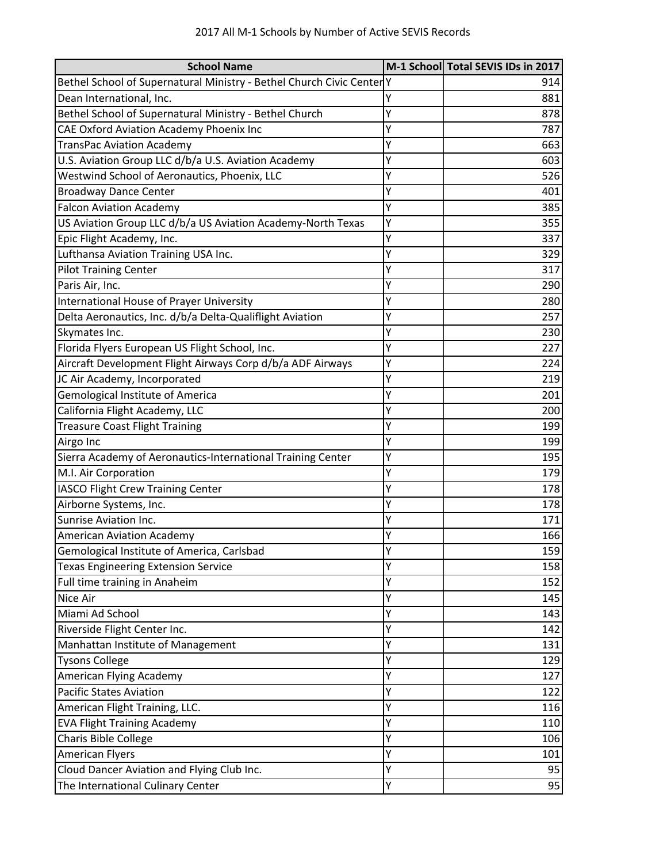| <b>School Name</b>                                                  |   | M-1 School Total SEVIS IDs in 2017 |
|---------------------------------------------------------------------|---|------------------------------------|
| Bethel School of Supernatural Ministry - Bethel Church Civic Center |   | 914                                |
| Dean International, Inc.                                            | Y | 881                                |
| Bethel School of Supernatural Ministry - Bethel Church              | Y | 878                                |
| CAE Oxford Aviation Academy Phoenix Inc                             | Y | 787                                |
| <b>TransPac Aviation Academy</b>                                    | Y | 663                                |
| U.S. Aviation Group LLC d/b/a U.S. Aviation Academy                 | Y | 603                                |
| Westwind School of Aeronautics, Phoenix, LLC                        | Y | 526                                |
| <b>Broadway Dance Center</b>                                        | Y | 401                                |
| <b>Falcon Aviation Academy</b>                                      | Y | 385                                |
| US Aviation Group LLC d/b/a US Aviation Academy-North Texas         | Y | 355                                |
| Epic Flight Academy, Inc.                                           | Y | 337                                |
| Lufthansa Aviation Training USA Inc.                                | Y | 329                                |
| <b>Pilot Training Center</b>                                        |   | 317                                |
| Paris Air, Inc.                                                     | Y | 290                                |
| <b>International House of Prayer University</b>                     | Ý | 280                                |
| Delta Aeronautics, Inc. d/b/a Delta-Qualiflight Aviation            | Y | 257                                |
| Skymates Inc.                                                       | Y | 230                                |
| Florida Flyers European US Flight School, Inc.                      | Ý | 227                                |
| Aircraft Development Flight Airways Corp d/b/a ADF Airways          | Y | 224                                |
| JC Air Academy, Incorporated                                        | Y | 219                                |
| <b>Gemological Institute of America</b>                             | Y | 201                                |
| California Flight Academy, LLC                                      | Y | 200                                |
| <b>Treasure Coast Flight Training</b>                               | Y | 199                                |
| Airgo Inc                                                           | Y | 199                                |
| Sierra Academy of Aeronautics-International Training Center         | Y | 195                                |
| M.I. Air Corporation                                                | Y | 179                                |
| IASCO Flight Crew Training Center                                   | Y | 178                                |
| Airborne Systems, Inc.                                              | Y | 178                                |
| <b>Sunrise Aviation Inc.</b>                                        | Y | 171                                |
| <b>American Aviation Academy</b>                                    | Y | 166                                |
| Gemological Institute of America, Carlsbad                          | Y | 159                                |
| <b>Texas Engineering Extension Service</b>                          | Y | 158                                |
| Full time training in Anaheim                                       | Ý | 152                                |
| Nice Air                                                            | Y | 145                                |
| Miami Ad School                                                     | Y | 143                                |
| Riverside Flight Center Inc.                                        | Y | 142                                |
| Manhattan Institute of Management                                   | Y | 131                                |
| <b>Tysons College</b>                                               | Y | 129                                |
| American Flying Academy                                             | Υ | 127                                |
| <b>Pacific States Aviation</b>                                      | Y | 122                                |
| American Flight Training, LLC.                                      | Υ | 116                                |
| <b>EVA Flight Training Academy</b>                                  | Y | 110                                |
| Charis Bible College                                                | Υ | 106                                |
| <b>American Flyers</b>                                              | Y | 101                                |
| Cloud Dancer Aviation and Flying Club Inc.                          | Y | 95                                 |
| The International Culinary Center                                   | Y | 95                                 |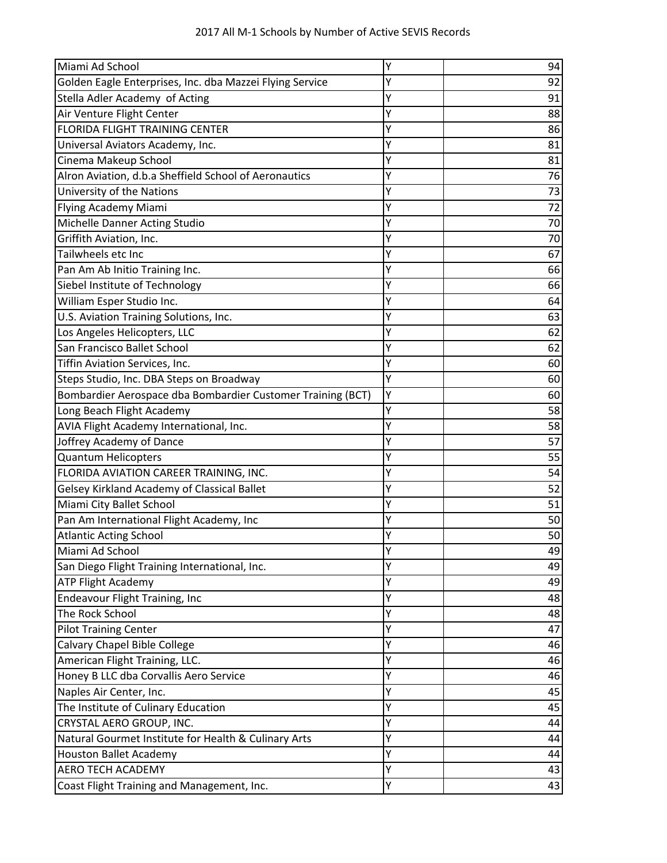| 2017 All M-1 Schools by Number of Active SEVIS Records |  |  |  |  |
|--------------------------------------------------------|--|--|--|--|
|--------------------------------------------------------|--|--|--|--|

| Miami Ad School                                             | Y | 94 |
|-------------------------------------------------------------|---|----|
| Golden Eagle Enterprises, Inc. dba Mazzei Flying Service    | Υ | 92 |
| Stella Adler Academy of Acting                              | Y | 91 |
| Air Venture Flight Center                                   | Y | 88 |
| FLORIDA FLIGHT TRAINING CENTER                              | Y | 86 |
| Universal Aviators Academy, Inc.                            | Y | 81 |
| Cinema Makeup School                                        |   | 81 |
| Alron Aviation, d.b.a Sheffield School of Aeronautics       | Y | 76 |
| University of the Nations                                   | Y | 73 |
| Flying Academy Miami                                        | Y | 72 |
| Michelle Danner Acting Studio                               | Y | 70 |
| Griffith Aviation, Inc.                                     | Y | 70 |
| Tailwheels etc Inc                                          | Y | 67 |
| Pan Am Ab Initio Training Inc.                              | Υ | 66 |
| Siebel Institute of Technology                              | Y | 66 |
| William Esper Studio Inc.                                   | Υ | 64 |
| U.S. Aviation Training Solutions, Inc.                      | Y | 63 |
| Los Angeles Helicopters, LLC                                | Y | 62 |
| San Francisco Ballet School                                 | Y | 62 |
| Tiffin Aviation Services, Inc.                              | Y | 60 |
| Steps Studio, Inc. DBA Steps on Broadway                    | Υ | 60 |
| Bombardier Aerospace dba Bombardier Customer Training (BCT) | Y | 60 |
| Long Beach Flight Academy                                   | Y | 58 |
| AVIA Flight Academy International, Inc.                     | Y | 58 |
| Joffrey Academy of Dance                                    | Y | 57 |
| <b>Quantum Helicopters</b>                                  | Y | 55 |
| FLORIDA AVIATION CAREER TRAINING, INC.                      | Y | 54 |
| Gelsey Kirkland Academy of Classical Ballet                 | Υ | 52 |
| Miami City Ballet School                                    | Y | 51 |
| Pan Am International Flight Academy, Inc                    | Y | 50 |
| <b>Atlantic Acting School</b>                               | Y | 50 |
| Miami Ad School                                             |   | 49 |
| San Diego Flight Training International, Inc.               | Υ | 49 |
| <b>ATP Flight Academy</b>                                   | Υ | 49 |
| Endeavour Flight Training, Inc                              | Y | 48 |
| The Rock School                                             | Υ | 48 |
| <b>Pilot Training Center</b>                                | Y | 47 |
| Calvary Chapel Bible College                                | Y | 46 |
| American Flight Training, LLC.                              | Y | 46 |
| Honey B LLC dba Corvallis Aero Service                      | Υ | 46 |
| Naples Air Center, Inc.                                     | Υ | 45 |
| The Institute of Culinary Education                         | Y | 45 |
| CRYSTAL AERO GROUP, INC.                                    | Y | 44 |
| Natural Gourmet Institute for Health & Culinary Arts        | Y | 44 |
| <b>Houston Ballet Academy</b>                               | Y | 44 |
| <b>AERO TECH ACADEMY</b>                                    | Υ | 43 |
| Coast Flight Training and Management, Inc.                  | Y | 43 |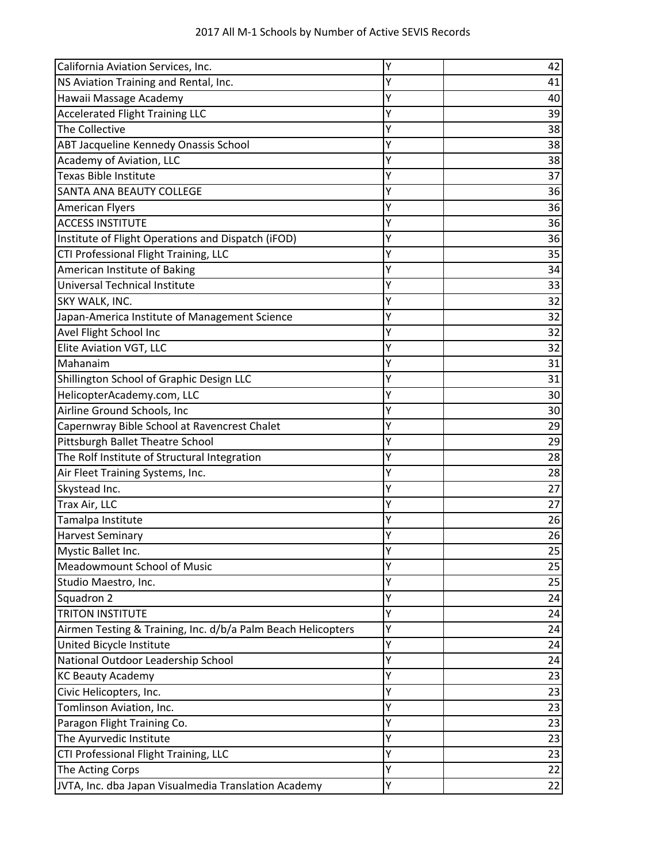| California Aviation Services, Inc.                           | Υ | 42 |
|--------------------------------------------------------------|---|----|
| NS Aviation Training and Rental, Inc.                        | Y | 41 |
| Hawaii Massage Academy                                       | Y | 40 |
| <b>Accelerated Flight Training LLC</b>                       |   | 39 |
| The Collective                                               | Y | 38 |
| ABT Jacqueline Kennedy Onassis School                        | Υ | 38 |
| Academy of Aviation, LLC                                     | Y | 38 |
| <b>Texas Bible Institute</b>                                 | Y | 37 |
| SANTA ANA BEAUTY COLLEGE                                     | Y | 36 |
| <b>American Flyers</b>                                       | Υ | 36 |
| <b>ACCESS INSTITUTE</b>                                      | Y | 36 |
| Institute of Flight Operations and Dispatch (iFOD)           | Y | 36 |
| CTI Professional Flight Training, LLC                        | Y | 35 |
| American Institute of Baking                                 |   | 34 |
| Universal Technical Institute                                | Y | 33 |
| SKY WALK, INC.                                               | Y | 32 |
| Japan-America Institute of Management Science                |   | 32 |
| Avel Flight School Inc                                       | Y | 32 |
| Elite Aviation VGT, LLC                                      | Y | 32 |
| Mahanaim                                                     | Y | 31 |
| Shillington School of Graphic Design LLC                     | Y | 31 |
| HelicopterAcademy.com, LLC                                   |   | 30 |
| Airline Ground Schools, Inc                                  | Y | 30 |
| Capernwray Bible School at Ravencrest Chalet                 | Υ | 29 |
| Pittsburgh Ballet Theatre School                             | Y | 29 |
| The Rolf Institute of Structural Integration                 | Y | 28 |
| Air Fleet Training Systems, Inc.                             | Υ | 28 |
| Skystead Inc.                                                | Y | 27 |
| Trax Air, LLC                                                | Y | 27 |
| Tamalpa Institute                                            | Y | 26 |
| <b>Harvest Seminary</b>                                      | Y | 26 |
| Mystic Ballet Inc.                                           | Y | 25 |
| Meadowmount School of Music                                  | Y | 25 |
| Studio Maestro, Inc.                                         | Υ | 25 |
| Squadron 2                                                   | Υ | 24 |
| <b>TRITON INSTITUTE</b>                                      | Y | 24 |
| Airmen Testing & Training, Inc. d/b/a Palm Beach Helicopters | Υ | 24 |
| United Bicycle Institute                                     | Υ | 24 |
| National Outdoor Leadership School                           | Y | 24 |
| <b>KC Beauty Academy</b>                                     | Y | 23 |
| Civic Helicopters, Inc.                                      | Y | 23 |
| Tomlinson Aviation, Inc.                                     | Υ | 23 |
| Paragon Flight Training Co.                                  | Y | 23 |
| The Ayurvedic Institute                                      | Y | 23 |
| CTI Professional Flight Training, LLC                        | Y | 23 |
| The Acting Corps                                             | Y | 22 |
| JVTA, Inc. dba Japan Visualmedia Translation Academy         | Υ | 22 |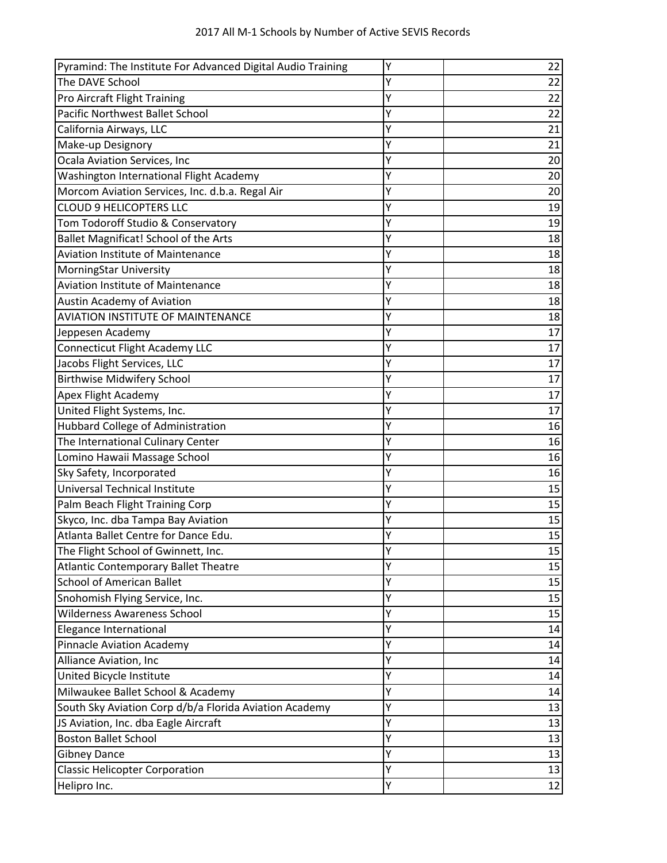| Pyramind: The Institute For Advanced Digital Audio Training | Y | 22 |
|-------------------------------------------------------------|---|----|
| The DAVE School                                             | Y | 22 |
| Pro Aircraft Flight Training                                | Y | 22 |
| Pacific Northwest Ballet School                             | Υ | 22 |
| California Airways, LLC                                     | Y | 21 |
| Make-up Designory                                           | Y | 21 |
| Ocala Aviation Services, Inc                                | Y | 20 |
| Washington International Flight Academy                     | Y | 20 |
| Morcom Aviation Services, Inc. d.b.a. Regal Air             | Y | 20 |
| <b>CLOUD 9 HELICOPTERS LLC</b>                              | Y | 19 |
| Tom Todoroff Studio & Conservatory                          | Y | 19 |
| Ballet Magnificat! School of the Arts                       | Y | 18 |
| Aviation Institute of Maintenance                           | Y | 18 |
| MorningStar University                                      | Y | 18 |
| <b>Aviation Institute of Maintenance</b>                    |   | 18 |
| <b>Austin Academy of Aviation</b>                           | Y | 18 |
| <b>AVIATION INSTITUTE OF MAINTENANCE</b>                    | Y | 18 |
| Jeppesen Academy                                            | Y | 17 |
| Connecticut Flight Academy LLC                              | Y | 17 |
| Jacobs Flight Services, LLC                                 | Y | 17 |
| <b>Birthwise Midwifery School</b>                           | Y | 17 |
| Apex Flight Academy                                         | Y | 17 |
| United Flight Systems, Inc.                                 | Y | 17 |
| Hubbard College of Administration                           | Y | 16 |
| The International Culinary Center                           | Y | 16 |
| Lomino Hawaii Massage School                                | Υ | 16 |
| Sky Safety, Incorporated                                    | Y | 16 |
| Universal Technical Institute                               | Y | 15 |
| Palm Beach Flight Training Corp                             | Y | 15 |
| Skyco, Inc. dba Tampa Bay Aviation                          | Υ | 15 |
| Atlanta Ballet Centre for Dance Edu.                        | Y | 15 |
| The Flight School of Gwinnett, Inc.                         | Y | 15 |
| Atlantic Contemporary Ballet Theatre                        | Υ | 15 |
| <b>School of American Ballet</b>                            | Y | 15 |
| Snohomish Flying Service, Inc.                              | Y | 15 |
| <b>Wilderness Awareness School</b>                          | Υ | 15 |
| Elegance International                                      | Y | 14 |
| <b>Pinnacle Aviation Academy</b>                            | Y | 14 |
| Alliance Aviation, Inc                                      | Υ | 14 |
| United Bicycle Institute                                    | Y | 14 |
| Milwaukee Ballet School & Academy                           | Y | 14 |
| South Sky Aviation Corp d/b/a Florida Aviation Academy      | Y | 13 |
| JS Aviation, Inc. dba Eagle Aircraft                        | Y | 13 |
| <b>Boston Ballet School</b>                                 | Υ | 13 |
| <b>Gibney Dance</b>                                         | Y | 13 |
| <b>Classic Helicopter Corporation</b>                       | Y | 13 |
| Helipro Inc.                                                | Υ | 12 |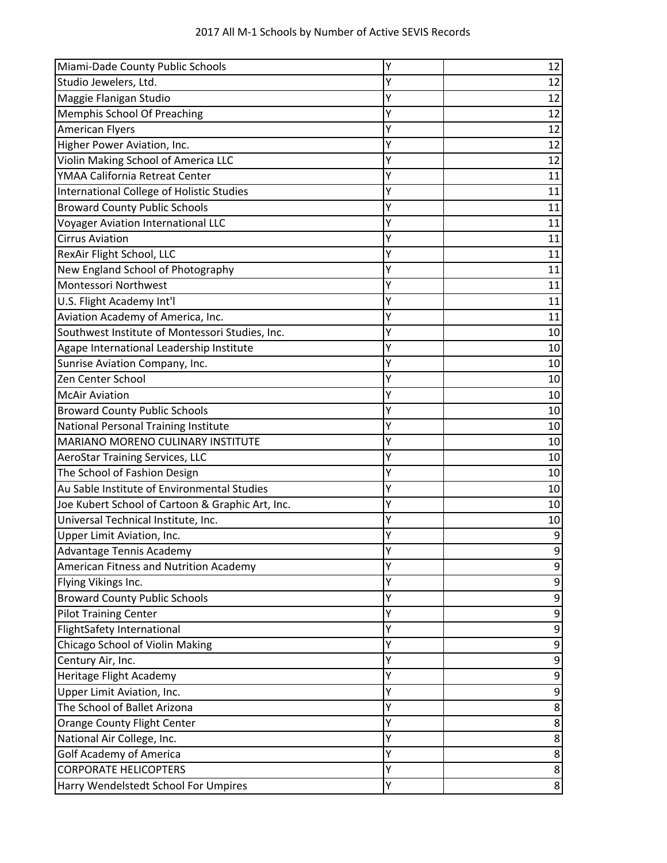| Miami-Dade County Public Schools                 | Y | 12 |
|--------------------------------------------------|---|----|
| Studio Jewelers, Ltd.                            | Y | 12 |
| Maggie Flanigan Studio                           | Υ | 12 |
| Memphis School Of Preaching                      | Y | 12 |
| <b>American Flyers</b>                           | Y | 12 |
| Higher Power Aviation, Inc.                      | γ | 12 |
| Violin Making School of America LLC              |   | 12 |
| YMAA California Retreat Center                   | Y | 11 |
| International College of Holistic Studies        | Y | 11 |
| <b>Broward County Public Schools</b>             | Y | 11 |
| <b>Voyager Aviation International LLC</b>        | Y | 11 |
| <b>Cirrus Aviation</b>                           | Y | 11 |
| RexAir Flight School, LLC                        | Y | 11 |
| New England School of Photography                | Y | 11 |
| Montessori Northwest                             | Y | 11 |
| U.S. Flight Academy Int'l                        | Y | 11 |
| Aviation Academy of America, Inc.                | Y | 11 |
| Southwest Institute of Montessori Studies, Inc.  | Y | 10 |
| Agape International Leadership Institute         | Y | 10 |
| Sunrise Aviation Company, Inc.                   | Y | 10 |
| Zen Center School                                | Y | 10 |
| <b>McAir Aviation</b>                            | Y | 10 |
| <b>Broward County Public Schools</b>             | Y | 10 |
| National Personal Training Institute             | Y | 10 |
| MARIANO MORENO CULINARY INSTITUTE                | Y | 10 |
| <b>AeroStar Training Services, LLC</b>           | Y | 10 |
| The School of Fashion Design                     | Y | 10 |
| Au Sable Institute of Environmental Studies      | Y | 10 |
| Joe Kubert School of Cartoon & Graphic Art, Inc. | Y | 10 |
| Universal Technical Institute, Inc.              |   | 10 |
| Upper Limit Aviation, Inc.                       | Y | 9  |
| Advantage Tennis Academy                         |   | 9  |
| American Fitness and Nutrition Academy           | Y | 9  |
| Flying Vikings Inc.                              | Ý | 9  |
| <b>Broward County Public Schools</b>             | Y |    |
| <b>Pilot Training Center</b>                     | Y | 9  |
| FlightSafety International                       | Y | 9  |
| Chicago School of Violin Making                  | Y | 9  |
| Century Air, Inc.                                | Y | 9  |
| Heritage Flight Academy                          |   | 9  |
| Upper Limit Aviation, Inc.                       | Y | 9  |
| The School of Ballet Arizona                     | Y | 8  |
| Orange County Flight Center                      | Y | 8  |
| National Air College, Inc.                       | Y | 8  |
| <b>Golf Academy of America</b>                   | Y | 8  |
| <b>CORPORATE HELICOPTERS</b>                     | Υ | 8  |
| Harry Wendelstedt School For Umpires             | Y | 8  |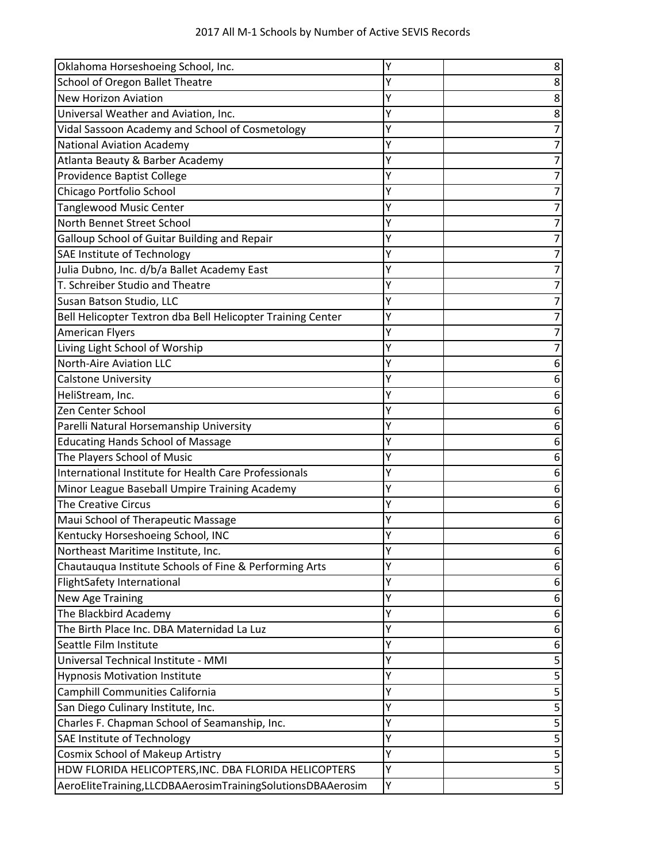| Oklahoma Horseshoeing School, Inc.                          | Y | 8 |
|-------------------------------------------------------------|---|---|
| School of Oregon Ballet Theatre                             | Y | 8 |
| <b>New Horizon Aviation</b>                                 | Y | 8 |
| Universal Weather and Aviation, Inc.                        |   | 8 |
| Vidal Sassoon Academy and School of Cosmetology             | Ý |   |
| <b>National Aviation Academy</b>                            |   |   |
| Atlanta Beauty & Barber Academy                             | Y |   |
| Providence Baptist College                                  | Y |   |
| Chicago Portfolio School                                    |   |   |
| <b>Tanglewood Music Center</b>                              | Y |   |
| North Bennet Street School                                  | Y |   |
| Galloup School of Guitar Building and Repair                | Y |   |
| SAE Institute of Technology                                 | γ |   |
| Julia Dubno, Inc. d/b/a Ballet Academy East                 |   |   |
| T. Schreiber Studio and Theatre                             | Y |   |
| Susan Batson Studio, LLC                                    | Y |   |
| Bell Helicopter Textron dba Bell Helicopter Training Center | Y |   |
| <b>American Flyers</b>                                      | Y |   |
| Living Light School of Worship                              | Y |   |
| <b>North-Aire Aviation LLC</b>                              | Y |   |
| <b>Calstone University</b>                                  | Y | 6 |
| HeliStream, Inc.                                            |   | 6 |
| Zen Center School                                           | Y |   |
| Parelli Natural Horsemanship University                     |   |   |
| <b>Educating Hands School of Massage</b>                    | Y |   |
| The Players School of Music                                 | Y | 6 |
| International Institute for Health Care Professionals       | Y | 6 |
| Minor League Baseball Umpire Training Academy               | Y |   |
| <b>The Creative Circus</b>                                  |   |   |
| Maui School of Therapeutic Massage                          | Y | 6 |
| Kentucky Horseshoeing School, INC                           |   | 6 |
| Northeast Maritime Institute, Inc.                          |   | ь |
| Chautauqua Institute Schools of Fine & Performing Arts      | Ý | 6 |
| FlightSafety International                                  | Y | 6 |
| <b>New Age Training</b>                                     | Y | 6 |
| The Blackbird Academy                                       | Y | 6 |
| The Birth Place Inc. DBA Maternidad La Luz                  | Y | 6 |
| Seattle Film Institute                                      | Y | 6 |
| Universal Technical Institute - MMI                         | Y |   |
| <b>Hypnosis Motivation Institute</b>                        | Y | 5 |
| Camphill Communities California                             | Ý | 5 |
| San Diego Culinary Institute, Inc.                          | Y | 5 |
| Charles F. Chapman School of Seamanship, Inc.               | Y | 5 |
| SAE Institute of Technology                                 | Y | 5 |
| Cosmix School of Makeup Artistry                            | Y | 5 |
| HDW FLORIDA HELICOPTERS, INC. DBA FLORIDA HELICOPTERS       | Y | 5 |
| AeroEliteTraining,LLCDBAAerosimTrainingSolutionsDBAAerosim  | Υ | 5 |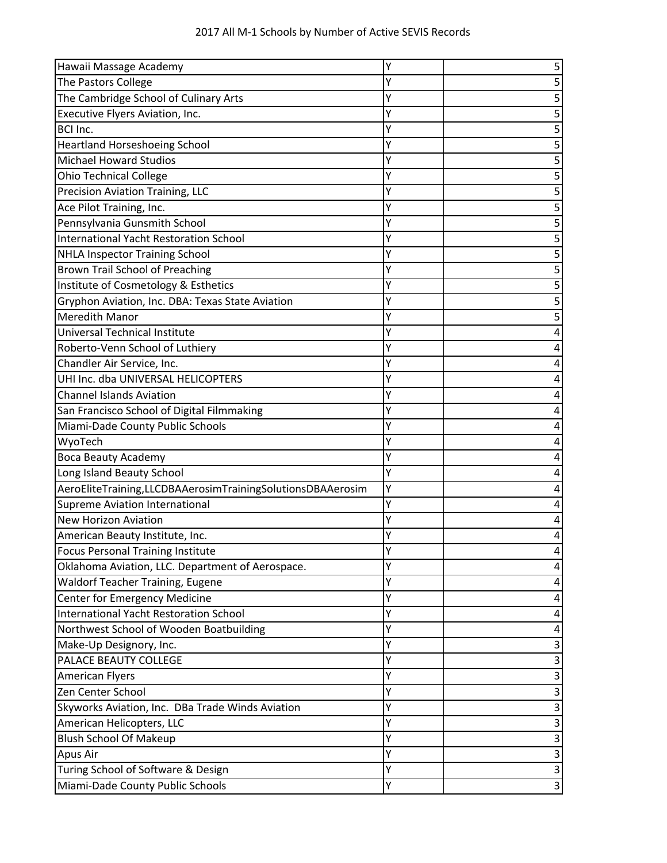| Hawaii Massage Academy                                     | Y | 5 |
|------------------------------------------------------------|---|---|
| The Pastors College                                        |   |   |
| The Cambridge School of Culinary Arts                      | ٧ |   |
| Executive Flyers Aviation, Inc.                            |   |   |
| <b>BCI Inc.</b>                                            | Y | 5 |
| Heartland Horseshoeing School                              | Υ |   |
| <b>Michael Howard Studios</b>                              | Y | 5 |
| <b>Ohio Technical College</b>                              | Y |   |
| Precision Aviation Training, LLC                           |   |   |
| Ace Pilot Training, Inc.                                   | Y | 5 |
| Pennsylvania Gunsmith School                               | Y |   |
| <b>International Yacht Restoration School</b>              |   | 5 |
| NHLA Inspector Training School                             | Y |   |
| <b>Brown Trail School of Preaching</b>                     | Y |   |
| Institute of Cosmetology & Esthetics                       | Y | 5 |
| Gryphon Aviation, Inc. DBA: Texas State Aviation           | Y |   |
| <b>Meredith Manor</b>                                      |   |   |
| Universal Technical Institute                              | γ |   |
| Roberto-Venn School of Luthiery                            | Y |   |
| Chandler Air Service, Inc.                                 |   |   |
| UHI Inc. dba UNIVERSAL HELICOPTERS                         | Y |   |
| <b>Channel Islands Aviation</b>                            | Y |   |
| San Francisco School of Digital Filmmaking                 | Y |   |
| Miami-Dade County Public Schools                           | Y |   |
| WyoTech                                                    |   |   |
| <b>Boca Beauty Academy</b>                                 | Y |   |
| Long Island Beauty School                                  |   |   |
| AeroEliteTraining,LLCDBAAerosimTrainingSolutionsDBAAerosim | Y |   |
| <b>Supreme Aviation International</b>                      | Y |   |
| <b>New Horizon Aviation</b>                                |   |   |
| American Beauty Institute, Inc.                            | Y |   |
| Focus Personal Training Institute                          | Y |   |
| Oklahoma Aviation, LLC. Department of Aerospace.           | Y | Δ |
| <b>Waldorf Teacher Training, Eugene</b>                    | Y |   |
| <b>Center for Emergency Medicine</b>                       |   |   |
| <b>International Yacht Restoration School</b>              | Y | 4 |
| Northwest School of Wooden Boatbuilding                    | Y | 4 |
| Make-Up Designory, Inc.                                    | Y | 3 |
| PALACE BEAUTY COLLEGE                                      | Y | 3 |
| <b>American Flyers</b>                                     | Y | 3 |
| Zen Center School                                          | Y |   |
| Skyworks Aviation, Inc. DBa Trade Winds Aviation           | Y | 3 |
| American Helicopters, LLC                                  | Y | 3 |
| <b>Blush School Of Makeup</b>                              | Y | 3 |
| Apus Air                                                   | Y | 3 |
| Turing School of Software & Design                         | Y | 3 |
| Miami-Dade County Public Schools                           | Y | 3 |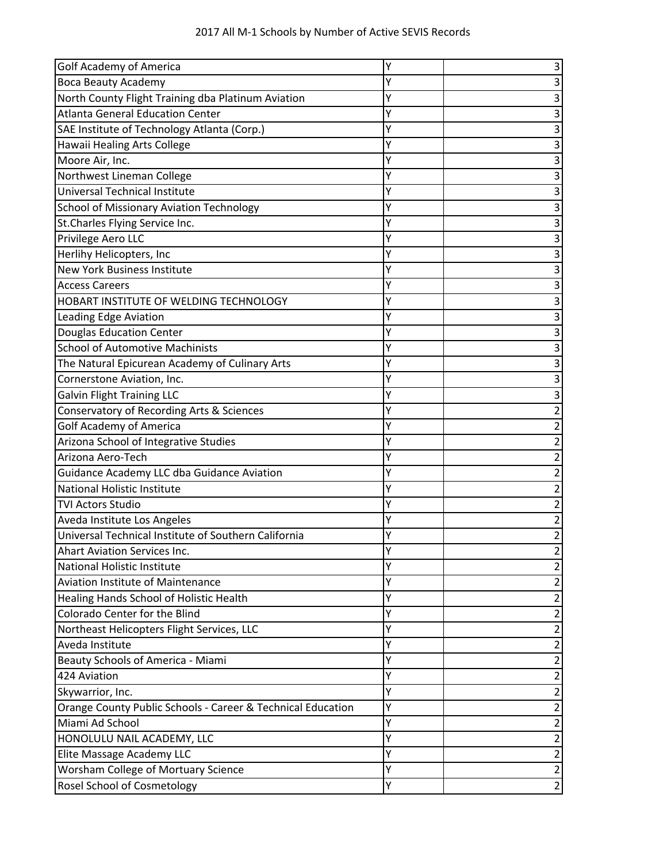| <b>Golf Academy of America</b>                              |   | 3              |
|-------------------------------------------------------------|---|----------------|
| <b>Boca Beauty Academy</b>                                  | Y |                |
| North County Flight Training dba Platinum Aviation          | Y | 3              |
| <b>Atlanta General Education Center</b>                     | Y | 3              |
| SAE Institute of Technology Atlanta (Corp.)                 | Y | 3              |
| Hawaii Healing Arts College                                 | Y | 3              |
| Moore Air, Inc.                                             | Y | 3              |
| Northwest Lineman College                                   | Y | 3              |
| Universal Technical Institute                               | Y | 3              |
| <b>School of Missionary Aviation Technology</b>             |   | 3              |
| St. Charles Flying Service Inc.                             | Y | 3              |
| Privilege Aero LLC                                          | Y | 3              |
| Herlihy Helicopters, Inc                                    | Y | 3              |
| <b>New York Business Institute</b>                          | Y | 3              |
| <b>Access Careers</b>                                       | Y | 3              |
| HOBART INSTITUTE OF WELDING TECHNOLOGY                      | Y |                |
| <b>Leading Edge Aviation</b>                                | Y | з              |
| <b>Douglas Education Center</b>                             | Y | 3              |
| <b>School of Automotive Machinists</b>                      | Y | 3              |
| The Natural Epicurean Academy of Culinary Arts              | Y | 3              |
| Cornerstone Aviation, Inc.                                  | Y | 3              |
| <b>Galvin Flight Training LLC</b>                           | Y | 3              |
| Conservatory of Recording Arts & Sciences                   | Y | 2              |
| <b>Golf Academy of America</b>                              | Y | 2              |
| Arizona School of Integrative Studies                       | Υ | 2              |
| Arizona Aero-Tech                                           | γ |                |
| Guidance Academy LLC dba Guidance Aviation                  | Y |                |
| <b>National Holistic Institute</b>                          | γ | 2              |
| <b>TVI Actors Studio</b>                                    | Y | 2              |
| Aveda Institute Los Angeles                                 | Y | 2              |
| Universal Technical Institute of Southern California        | Y | 2              |
| <b>Ahart Aviation Services Inc.</b>                         | Y | 2              |
| <b>National Holistic Institute</b>                          | Y |                |
| <b>Aviation Institute of Maintenance</b>                    | Y | 2              |
| Healing Hands School of Holistic Health                     | Y | 2              |
| Colorado Center for the Blind                               | Y | 2              |
| Northeast Helicopters Flight Services, LLC                  | Y | 2              |
| Aveda Institute                                             | Y | 2              |
| Beauty Schools of America - Miami                           | Y | 2              |
| 424 Aviation                                                | Y | 2              |
| Skywarrior, Inc.                                            | Y | 2              |
| Orange County Public Schools - Career & Technical Education | Y | $\overline{2}$ |
| Miami Ad School                                             | Υ | 2              |
| HONOLULU NAIL ACADEMY, LLC                                  | Y | 2              |
| Elite Massage Academy LLC                                   | Y | 2              |
| Worsham College of Mortuary Science                         | Y | $\overline{2}$ |
| Rosel School of Cosmetology                                 | Υ | $\overline{2}$ |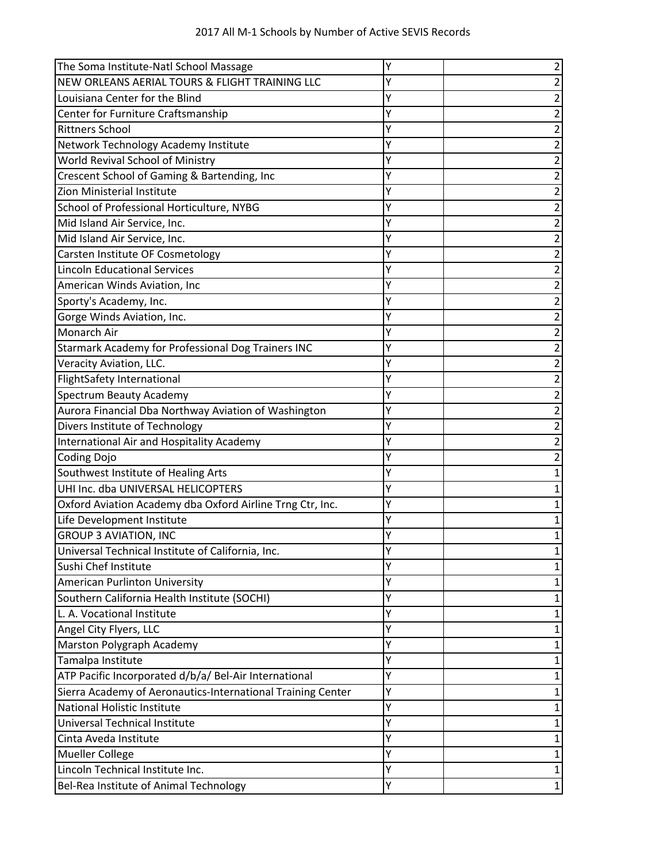| The Soma Institute-Natl School Massage                      | Υ |   |
|-------------------------------------------------------------|---|---|
| NEW ORLEANS AERIAL TOURS & FLIGHT TRAINING LLC              | Y |   |
| Louisiana Center for the Blind                              | Y |   |
| Center for Furniture Craftsmanship                          |   |   |
| <b>Rittners School</b>                                      | Y | 2 |
| Network Technology Academy Institute                        | Y |   |
| World Revival School of Ministry                            | Y |   |
| Crescent School of Gaming & Bartending, Inc                 | Y |   |
| Zion Ministerial Institute                                  | Y |   |
| School of Professional Horticulture, NYBG                   | Υ |   |
| Mid Island Air Service, Inc.                                | Y |   |
| Mid Island Air Service, Inc.                                |   |   |
| Carsten Institute OF Cosmetology                            | γ |   |
| <b>Lincoln Educational Services</b>                         | Υ |   |
| American Winds Aviation, Inc                                | Y |   |
| Sporty's Academy, Inc.                                      | Y | 2 |
| Gorge Winds Aviation, Inc.                                  | Y | 2 |
| Monarch Air                                                 | Y |   |
| Starmark Academy for Professional Dog Trainers INC          | Υ |   |
| Veracity Aviation, LLC.                                     | Y |   |
| <b>FlightSafety International</b>                           | Y |   |
| Spectrum Beauty Academy                                     | Y |   |
| Aurora Financial Dba Northway Aviation of Washington        | Y | 2 |
| Divers Institute of Technology                              | Y |   |
| International Air and Hospitality Academy                   | Y | 2 |
| Coding Dojo                                                 | Y |   |
| Southwest Institute of Healing Arts                         | Y |   |
| UHI Inc. dba UNIVERSAL HELICOPTERS                          | Υ |   |
| Oxford Aviation Academy dba Oxford Airline Trng Ctr, Inc.   | Y |   |
| Life Development Institute                                  |   |   |
| <b>GROUP 3 AVIATION, INC</b>                                | Υ |   |
| Universal Technical Institute of California, Inc.           | Y |   |
| Sushi Chef Institute                                        | Υ |   |
| <b>American Purlinton University</b>                        | Υ |   |
| Southern California Health Institute (SOCHI)                | Y |   |
| L. A. Vocational Institute                                  | Y |   |
| Angel City Flyers, LLC                                      | Y |   |
| Marston Polygraph Academy                                   | Υ |   |
| Tamalpa Institute                                           | Y |   |
| ATP Pacific Incorporated d/b/a/ Bel-Air International       | Y |   |
| Sierra Academy of Aeronautics-International Training Center | Υ |   |
| National Holistic Institute                                 | Υ |   |
| Universal Technical Institute                               | Y |   |
| Cinta Aveda Institute                                       | Υ |   |
| Mueller College                                             | Y |   |
| Lincoln Technical Institute Inc.                            | Υ | 1 |
| Bel-Rea Institute of Animal Technology                      | Υ | 1 |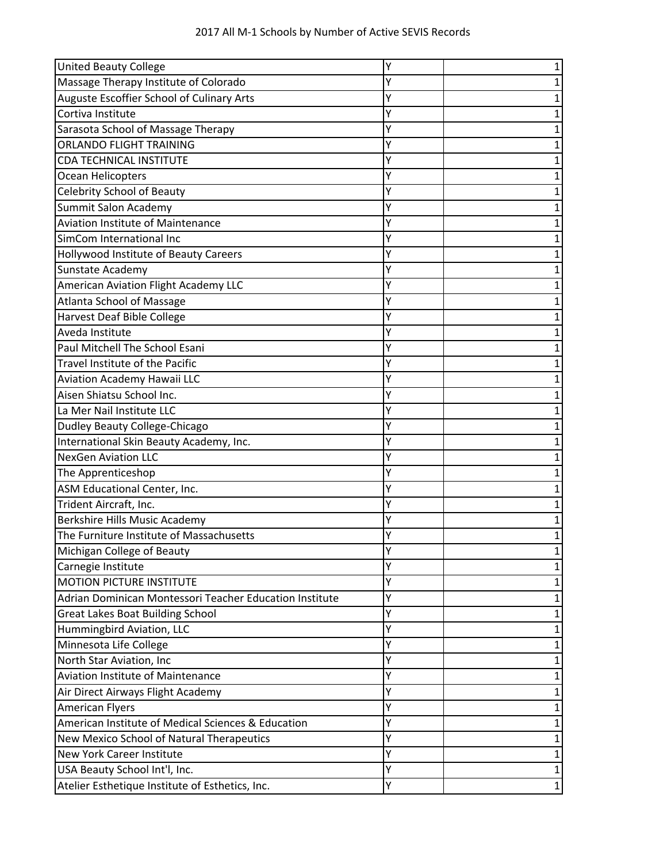| <b>United Beauty College</b>                            | Y |   |
|---------------------------------------------------------|---|---|
| Massage Therapy Institute of Colorado                   | Υ |   |
| Auguste Escoffier School of Culinary Arts               | Υ |   |
| Cortiva Institute                                       | Y |   |
| Sarasota School of Massage Therapy                      | Υ |   |
| <b>ORLANDO FLIGHT TRAINING</b>                          | Y |   |
| <b>CDA TECHNICAL INSTITUTE</b>                          | Y |   |
| Ocean Helicopters                                       |   |   |
| <b>Celebrity School of Beauty</b>                       |   |   |
| Summit Salon Academy                                    | Y |   |
| <b>Aviation Institute of Maintenance</b>                | Υ |   |
| SimCom International Inc                                | Y |   |
| Hollywood Institute of Beauty Careers                   |   |   |
| Sunstate Academy                                        | Υ |   |
| American Aviation Flight Academy LLC                    | Υ |   |
| <b>Atlanta School of Massage</b>                        | Y |   |
| Harvest Deaf Bible College                              |   |   |
| Aveda Institute                                         |   |   |
| Paul Mitchell The School Esani                          |   |   |
| Travel Institute of the Pacific                         | Υ |   |
| Aviation Academy Hawaii LLC                             | Υ |   |
| Aisen Shiatsu School Inc.                               | Υ |   |
| La Mer Nail Institute LLC                               | Υ |   |
| Dudley Beauty College-Chicago                           | Υ |   |
| International Skin Beauty Academy, Inc.                 | Y |   |
| <b>NexGen Aviation LLC</b>                              |   |   |
| The Apprenticeshop                                      |   |   |
| ASM Educational Center, Inc.                            | Y |   |
| Trident Aircraft, Inc.                                  | Y |   |
| Berkshire Hills Music Academy                           | Y |   |
| The Furniture Institute of Massachusetts                |   |   |
| Michigan College of Beauty                              | Y |   |
| Carnegie Institute                                      | Υ | 1 |
| <b>MOTION PICTURE INSTITUTE</b>                         | Υ |   |
| Adrian Dominican Montessori Teacher Education Institute | Y |   |
| <b>Great Lakes Boat Building School</b>                 | Υ |   |
| Hummingbird Aviation, LLC                               | Υ |   |
| Minnesota Life College                                  | Υ | 1 |
| North Star Aviation, Inc                                | Υ |   |
| Aviation Institute of Maintenance                       | Υ |   |
| Air Direct Airways Flight Academy                       | Υ |   |
| <b>American Flyers</b>                                  | Υ |   |
| American Institute of Medical Sciences & Education      | Υ | 1 |
| New Mexico School of Natural Therapeutics               | Υ |   |
| <b>New York Career Institute</b>                        | Υ |   |
| USA Beauty School Int'l, Inc.                           | Υ | 1 |
| Atelier Esthetique Institute of Esthetics, Inc.         | Υ | 1 |